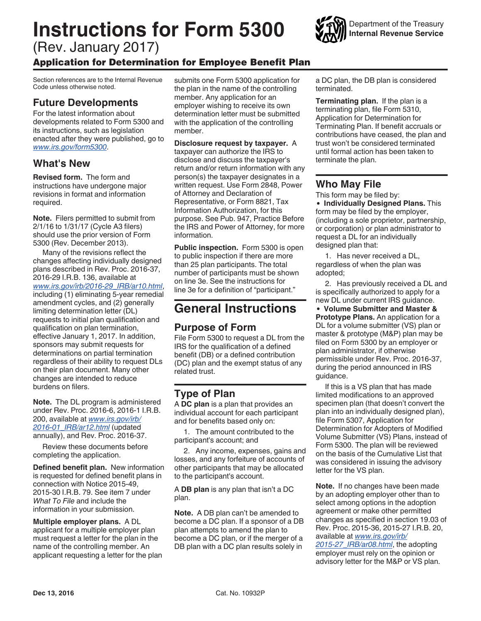# **Instructions for Form 5300**

(Rev. January 2017)

#### Application for Determination for Employee Benefit Plan

Section references are to the Internal Revenue Code unless otherwise noted.

#### **Future Developments**

For the latest information about developments related to Form 5300 and its instructions, such as legislation enacted after they were published, go to *[www.irs.gov/form5300](https://www.irs.gov/form5300)*.

### **What's New**

**Revised form.** The form and instructions have undergone major revisions in format and information required.

**Note.** Filers permitted to submit from 2/1/16 to 1/31/17 (Cycle A3 filers) should use the prior version of Form 5300 (Rev. December 2013).

Many of the revisions reflect the changes affecting individually designed plans described in Rev. Proc. 2016-37, 2016-29 I.R.B. 136, available at *[www.irs.gov/irb/2016-29\\_IRB/ar10.html](https://www.irs.gov/irb/2016-29_IRB/ar10.html)*, including (1) eliminating 5-year remedial amendment cycles, and (2) generally limiting determination letter (DL) requests to initial plan qualification and qualification on plan termination, effective January 1, 2017. In addition, sponsors may submit requests for determinations on partial termination regardless of their ability to request DLs on their plan document. Many other changes are intended to reduce burdens on filers.

**Note.** The DL program is administered under Rev. Proc. 2016-6, 2016-1 I.R.B. 200, available at *[www.irs.gov/irb/](https://www.irs.gov/irb/2016-01_IRB/ar12.html) [2016-01\\_IRB/ar12.html](https://www.irs.gov/irb/2016-01_IRB/ar12.html)* (updated annually), and Rev. Proc. 2016-37.

Review these documents before completing the application.

**Defined benefit plan.** New information is requested for defined benefit plans in connection with Notice 2015-49, 2015-30 I.R.B. 79. See item 7 under *What To File* and include the information in your submission.

**Multiple employer plans.** A DL applicant for a multiple employer plan must request a letter for the plan in the name of the controlling member. An applicant requesting a letter for the plan submits one Form 5300 application for the plan in the name of the controlling member. Any application for an employer wishing to receive its own determination letter must be submitted with the application of the controlling member.

**Disclosure request by taxpayer.** A taxpayer can authorize the IRS to disclose and discuss the taxpayer's return and/or return information with any person(s) the taxpayer designates in a written request. Use Form 2848, Power of Attorney and Declaration of Representative, or Form 8821, Tax Information Authorization, for this purpose. See Pub. 947, Practice Before the IRS and Power of Attorney, for more information.

**Public inspection.** Form 5300 is open to public inspection if there are more than 25 plan participants. The total number of participants must be shown on line 3e. See the instructions for line 3e for a definition of "participant."

# **General Instructions**

#### **Purpose of Form**

File Form 5300 to request a DL from the IRS for the qualification of a defined benefit (DB) or a defined contribution (DC) plan and the exempt status of any related trust.

## **Type of Plan**

A **DC plan** is a plan that provides an individual account for each participant and for benefits based only on:

1. The amount contributed to the participant's account; and

2. Any income, expenses, gains and losses, and any forfeiture of accounts of other participants that may be allocated to the participant's account.

A **DB plan** is any plan that isn't a DC plan.

**Note.** A DB plan can't be amended to become a DC plan. If a sponsor of a DB plan attempts to amend the plan to become a DC plan, or if the merger of a DB plan with a DC plan results solely in

a DC plan, the DB plan is considered terminated.

**Terminating plan.** If the plan is a terminating plan, file Form 5310, Application for Determination for Terminating Plan. If benefit accruals or contributions have ceased, the plan and trust won't be considered terminated until formal action has been taken to terminate the plan.

### **Who May File**

This form may be filed by:

**Individually Designed Plans.** This form may be filed by the employer, (including a sole proprietor, partnership, or corporation) or plan administrator to request a DL for an individually designed plan that:

1. Has never received a DL, regardless of when the plan was adopted;

2. Has previously received a DL and is specifically authorized to apply for a new DL under current IRS guidance.

**Volume Submitter and Master & Prototype Plans.** An application for a DL for a volume submitter (VS) plan or master & prototype (M&P) plan may be filed on Form 5300 by an employer or plan administrator, if otherwise permissible under Rev. Proc. 2016-37, during the period announced in IRS guidance.

If this is a VS plan that has made limited modifications to an approved specimen plan (that doesn't convert the plan into an individually designed plan), file Form 5307, Application for Determination for Adopters of Modified Volume Submitter (VS) Plans, instead of Form 5300. The plan will be reviewed on the basis of the Cumulative List that was considered in issuing the advisory letter for the VS plan.

**Note.** If no changes have been made by an adopting employer other than to select among options in the adoption agreement or make other permitted changes as specified in section 19.03 of Rev. Proc. 2015-36, 2015-27 I.R.B. 20, available at *[www.irs.gov/irb/](https://www.irs.gov/irb/2015-27_IRB/ar08.html)*

*[2015-27\\_IRB/ar08.html](https://www.irs.gov/irb/2015-27_IRB/ar08.html)*, the adopting employer must rely on the opinion or advisory letter for the M&P or VS plan.

Department of the Treasury **Internal Revenue Service**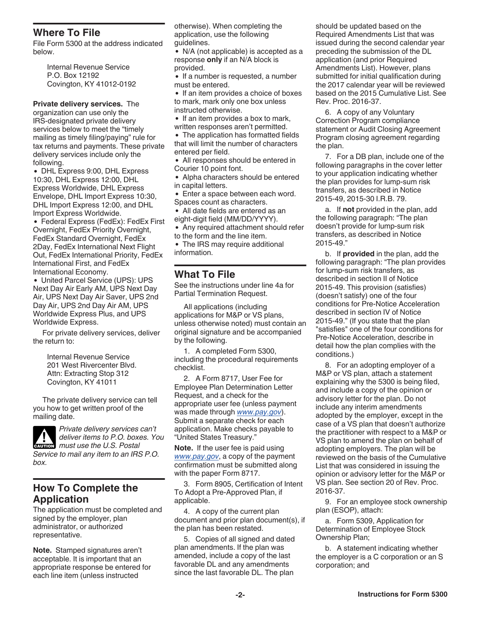#### **Where To File**

File Form 5300 at the address indicated below.

> Internal Revenue Service P.O. Box 12192 Covington, KY 41012-0192

**Private delivery services.** The organization can use only the IRS-designated private delivery services below to meet the "timely mailing as timely filing/paying" rule for tax returns and payments. These private delivery services include only the following.

DHL Express 9:00, DHL Express 10:30, DHL Express 12:00, DHL Express Worldwide, DHL Express Envelope, DHL Import Express 10:30, DHL Import Express 12:00, and DHL Import Express Worldwide.

Federal Express (FedEx): FedEx First Overnight, FedEx Priority Overnight, FedEx Standard Overnight, FedEx 2Day, FedEx International Next Flight Out, FedEx International Priority, FedEx International First, and FedEx International Economy.

United Parcel Service (UPS): UPS Next Day Air Early AM, UPS Next Day Air, UPS Next Day Air Saver, UPS 2nd Day Air, UPS 2nd Day Air AM, UPS Worldwide Express Plus, and UPS Worldwide Express.

For private delivery services, deliver the return to:

> Internal Revenue Service 201 West Rivercenter Blvd. Attn: Extracting Stop 312 Covington, KY 41011

The private delivery service can tell you how to get written proof of the mailing date.



*box.*

*Private delivery services can't deliver items to P.O. boxes. You*  **caution** deliver items to P.O. boxe *Service to mail any item to an IRS P.O.* 

#### **How To Complete the Application**

The application must be completed and signed by the employer, plan administrator, or authorized representative.

**Note.** Stamped signatures aren't acceptable. It is important that an appropriate response be entered for each line item (unless instructed

otherwise). When completing the application, use the following guidelines.

• N/A (not applicable) is accepted as a response **only** if an N/A block is provided.

• If a number is requested, a number must be entered.

• If an item provides a choice of boxes to mark, mark only one box unless instructed otherwise.

• If an item provides a box to mark,

written responses aren't permitted.

• The application has formatted fields that will limit the number of characters entered per field.

All responses should be entered in Courier 10 point font.

Alpha characters should be entered in capital letters.

Enter a space between each word. Spaces count as characters.

All date fields are entered as an eight-digit field (MM/DD/YYYY).

Any required attachment should refer to the form and the line item.

• The IRS may require additional information.

#### **What To File**

See the instructions under line 4a for Partial Termination Request.

All applications (including applications for M&P or VS plans, unless otherwise noted) must contain an original signature and be accompanied by the following.

1. A completed Form 5300, including the procedural requirements checklist.

2. A Form 8717, User Fee for Employee Plan Determination Letter Request, and a check for the appropriate user fee (unless payment was made through *[www.pay.gov](https://www.pay.gov/public/home)*). Submit a separate check for each application. Make checks payable to "United States Treasury."

**Note.** If the user fee is paid using *[www.pay.gov](https://www.pay.gov/public/home)*, a copy of the payment confirmation must be submitted along with the paper Form 8717.

3. Form 8905, Certification of Intent To Adopt a Pre-Approved Plan, if applicable.

4. A copy of the current plan document and prior plan document(s), if the plan has been restated.

5. Copies of all signed and dated plan amendments. If the plan was amended, include a copy of the last favorable DL and any amendments since the last favorable DL. The plan

should be updated based on the Required Amendments List that was issued during the second calendar year preceding the submission of the DL application (and prior Required Amendments List). However, plans submitted for initial qualification during the 2017 calendar year will be reviewed based on the 2015 Cumulative List. See Rev. Proc. 2016-37.

6. A copy of any Voluntary Correction Program compliance statement or Audit Closing Agreement Program closing agreement regarding the plan.

7. For a DB plan, include one of the following paragraphs in the cover letter to your application indicating whether the plan provides for lump-sum risk transfers, as described in Notice 2015-49, 2015-30 I.R.B. 79.

a. If **not** provided in the plan, add the following paragraph: "The plan doesn't provide for lump-sum risk transfers, as described in Notice 2015-49."

b. If **provided** in the plan, add the following paragraph: "The plan provides for lump-sum risk transfers, as described in section II of Notice 2015-49. This provision (satisfies) (doesn't satisfy) one of the four conditions for Pre-Notice Acceleration described in section IV of Notice 2015-49." (If you state that the plan "satisfies" one of the four conditions for Pre-Notice Acceleration, describe in detail how the plan complies with the conditions.)

8. For an adopting employer of a M&P or VS plan, attach a statement explaining why the 5300 is being filed, and include a copy of the opinion or advisory letter for the plan. Do not include any interim amendments adopted by the employer, except in the case of a VS plan that doesn't authorize the practitioner with respect to a M&P or VS plan to amend the plan on behalf of adopting employers. The plan will be reviewed on the basis of the Cumulative List that was considered in issuing the opinion or advisory letter for the M&P or VS plan. See section 20 of Rev. Proc. 2016-37.

9. For an employee stock ownership plan (ESOP), attach:

a. Form 5309, Application for Determination of Employee Stock Ownership Plan;

b. A statement indicating whether the employer is a C corporation or an S corporation; and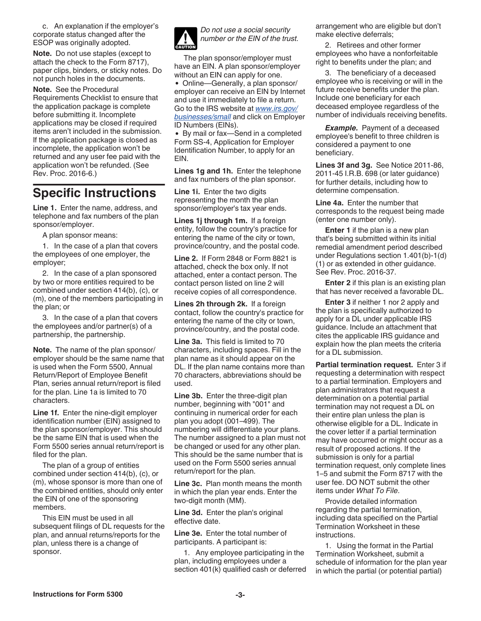c. An explanation if the employer's corporate status changed after the ESOP was originally adopted.

**Note.** Do not use staples (except to attach the check to the Form 8717), paper clips, binders, or sticky notes. Do not punch holes in the documents.

**Note.** See the Procedural Requirements Checklist to ensure that the application package is complete before submitting it. Incomplete applications may be closed if required items aren't included in the submission. If the application package is closed as incomplete, the application won't be returned and any user fee paid with the application won't be refunded. (See Rev. Proc. 2016-6.)

# **Specific Instructions**

**Line 1.** Enter the name, address, and telephone and fax numbers of the plan sponsor/employer.

A plan sponsor means:

1. In the case of a plan that covers the employees of one employer, the employer;

2. In the case of a plan sponsored by two or more entities required to be combined under section 414(b), (c), or (m), one of the members participating in the plan; or

3. In the case of a plan that covers the employees and/or partner(s) of a partnership, the partnership.

**Note.** The name of the plan sponsor/ employer should be the same name that is used when the Form 5500, Annual Return/Report of Employee Benefit Plan, series annual return/report is filed for the plan. Line 1a is limited to 70 characters.

**Line 1f.** Enter the nine-digit employer identification number (EIN) assigned to the plan sponsor/employer. This should be the same EIN that is used when the Form 5500 series annual return/report is filed for the plan.

The plan of a group of entities combined under section 414(b), (c), or (m), whose sponsor is more than one of the combined entities, should only enter the EIN of one of the sponsoring members.

This EIN must be used in all subsequent filings of DL requests for the plan, and annual returns/reports for the plan, unless there is a change of sponsor.



*Do not use a social security number or the EIN of the trust.*

The plan sponsor/employer must have an EIN. A plan sponsor/employer without an EIN can apply for one.

Online—Generally, a plan sponsor/ employer can receive an EIN by Internet and use it immediately to file a return. Go to the IRS website at *[www.irs.gov/](https://www.irs.gov/businesses/small) [businesses/small](https://www.irs.gov/businesses/small)* and click on Employer ID Numbers (EINs).

• By mail or fax—Send in a completed Form SS-4, Application for Employer Identification Number, to apply for an EIN.

**Lines 1g and 1h.** Enter the telephone and fax numbers of the plan sponsor.

**Line 1i.** Enter the two digits representing the month the plan sponsor/employer's tax year ends.

**Lines 1j through 1m.** If a foreign entity, follow the country's practice for entering the name of the city or town, province/country, and the postal code.

**Line 2.** If Form 2848 or Form 8821 is attached, check the box only. If not attached, enter a contact person. The contact person listed on line 2 will receive copies of all correspondence.

**Lines 2h through 2k.** If a foreign contact, follow the country's practice for entering the name of the city or town, province/country, and the postal code.

**Line 3a.** This field is limited to 70 characters, including spaces. Fill in the plan name as it should appear on the DL. If the plan name contains more than 70 characters, abbreviations should be used.

**Line 3b.** Enter the three-digit plan number, beginning with "001" and continuing in numerical order for each plan you adopt (001–499). The numbering will differentiate your plans. The number assigned to a plan must not be changed or used for any other plan. This should be the same number that is used on the Form 5500 series annual return/report for the plan.

**Line 3c.** Plan month means the month in which the plan year ends. Enter the two-digit month (MM).

**Line 3d.** Enter the plan's original effective date.

**Line 3e.** Enter the total number of participants. A participant is:

1. Any employee participating in the plan, including employees under a section 401(k) qualified cash or deferred arrangement who are eligible but don't make elective deferrals;

2. Retirees and other former employees who have a nonforfeitable right to benefits under the plan; and

3. The beneficiary of a deceased employee who is receiving or will in the future receive benefits under the plan. Include one beneficiary for each deceased employee regardless of the number of individuals receiving benefits.

**Example.** Payment of a deceased employee's benefit to three children is considered a payment to one beneficiary.

**Lines 3f and 3g.** See Notice 2011-86, 2011-45 I.R.B. 698 (or later guidance) for further details, including how to determine compensation.

**Line 4a.** Enter the number that corresponds to the request being made (enter one number only).

**Enter 1** if the plan is a new plan that's being submitted within its initial remedial amendment period described under Regulations section 1.401(b)-1(d) (1) or as extended in other guidance. See Rev. Proc. 2016-37.

**Enter 2** if this plan is an existing plan that has never received a favorable DL.

**Enter 3** if neither 1 nor 2 apply and the plan is specifically authorized to apply for a DL under applicable IRS guidance. Include an attachment that cites the applicable IRS guidance and explain how the plan meets the criteria for a DL submission.

**Partial termination request.** Enter 3 if requesting a determination with respect to a partial termination. Employers and plan administrators that request a determination on a potential partial termination may not request a DL on their entire plan unless the plan is otherwise eligible for a DL. Indicate in the cover letter if a partial termination may have occurred or might occur as a result of proposed actions. If the submission is only for a partial termination request, only complete lines 1–5 and submit the Form 8717 with the user fee. DO NOT submit the other items under *What To File*.

Provide detailed information regarding the partial termination, including data specified on the Partial Termination Worksheet in these instructions.

1. Using the format in the Partial Termination Worksheet, submit a schedule of information for the plan year in which the partial (or potential partial)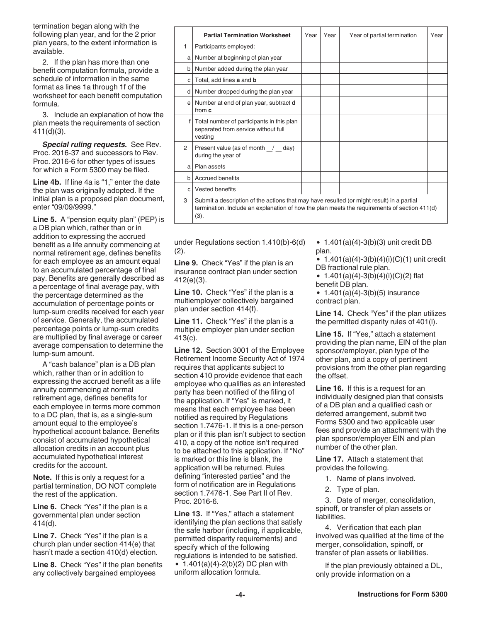termination began along with the following plan year, and for the 2 prior plan years, to the extent information is available.

2. If the plan has more than one benefit computation formula, provide a schedule of information in the same format as lines 1a through 1f of the worksheet for each benefit computation formula.

3. Include an explanation of how the plan meets the requirements of section 411(d)(3).

*Special ruling requests.* See Rev. Proc. 2016-37 and successors to Rev. Proc. 2016-6 for other types of issues for which a Form 5300 may be filed.

**Line 4b.** If line 4a is "1," enter the date the plan was originally adopted. If the initial plan is a proposed plan document, enter "09/09/9999."

**Line 5.** A "pension equity plan" (PEP) is a DB plan which, rather than or in addition to expressing the accrued benefit as a life annuity commencing at normal retirement age, defines benefits for each employee as an amount equal to an accumulated percentage of final pay. Benefits are generally described as a percentage of final average pay, with the percentage determined as the accumulation of percentage points or lump-sum credits received for each year of service. Generally, the accumulated percentage points or lump-sum credits are multiplied by final average or career average compensation to determine the lump-sum amount.

A "cash balance" plan is a DB plan which, rather than or in addition to expressing the accrued benefit as a life annuity commencing at normal retirement age, defines benefits for each employee in terms more common to a DC plan, that is, as a single-sum amount equal to the employee's hypothetical account balance. Benefits consist of accumulated hypothetical allocation credits in an account plus accumulated hypothetical interest credits for the account.

**Note.** If this is only a request for a partial termination, DO NOT complete the rest of the application.

**Line 6.** Check "Yes" if the plan is a governmental plan under section 414(d).

**Line 7.** Check "Yes" if the plan is a church plan under section 414(e) that hasn't made a section 410(d) election.

**Line 8.** Check "Yes" if the plan benefits any collectively bargained employees

|              | <b>Partial Termination Worksheet</b>                                                                                                                                                              | Year | Year | Year of partial termination | Year |  |
|--------------|---------------------------------------------------------------------------------------------------------------------------------------------------------------------------------------------------|------|------|-----------------------------|------|--|
| 1            | Participants employed:                                                                                                                                                                            |      |      |                             |      |  |
| a l          | Number at beginning of plan year                                                                                                                                                                  |      |      |                             |      |  |
| $\mathsf{b}$ | Number added during the plan year                                                                                                                                                                 |      |      |                             |      |  |
| $\mathbf{C}$ | Total, add lines a and b                                                                                                                                                                          |      |      |                             |      |  |
|              | d   Number dropped during the plan year                                                                                                                                                           |      |      |                             |      |  |
| e l          | Number at end of plan year, subtract <b>d</b><br>from c                                                                                                                                           |      |      |                             |      |  |
| f            | Total number of participants in this plan<br>separated from service without full<br>vestina                                                                                                       |      |      |                             |      |  |
| 2            | Present value (as of month / day)<br>during the year of                                                                                                                                           |      |      |                             |      |  |
| a l          | Plan assets                                                                                                                                                                                       |      |      |                             |      |  |
| $\mathsf{b}$ | <b>Accrued benefits</b>                                                                                                                                                                           |      |      |                             |      |  |
| $\mathbf{C}$ | Vested benefits                                                                                                                                                                                   |      |      |                             |      |  |
| 3            | Submit a description of the actions that may have resulted (or might result) in a partial<br>termination. Include an explanation of how the plan meets the requirements of section 411(d)<br>(3). |      |      |                             |      |  |

under Regulations section 1.410(b)-6(d) (2).

**Line 9.** Check "Yes" if the plan is an insurance contract plan under section 412(e)(3).

**Line 10.** Check "Yes" if the plan is a multiemployer collectively bargained plan under section 414(f).

**Line 11.** Check "Yes" if the plan is a multiple employer plan under section 413(c).

**Line 12.** Section 3001 of the Employee Retirement Income Security Act of 1974 requires that applicants subject to section 410 provide evidence that each employee who qualifies as an interested party has been notified of the filing of the application. If "Yes" is marked, it means that each employee has been notified as required by Regulations section 1.7476-1. If this is a one-person plan or if this plan isn't subject to section 410, a copy of the notice isn't required to be attached to this application. If "No" is marked or this line is blank, the application will be returned. Rules defining "interested parties" and the form of notification are in Regulations section 1.7476-1. See Part II of Rev. Proc. 2016-6.

**Line 13.** If "Yes," attach a statement identifying the plan sections that satisfy the safe harbor (including, if applicable, permitted disparity requirements) and specify which of the following regulations is intended to be satisfied. •  $1.401(a)(4)-2(b)(2)$  DC plan with uniform allocation formula.

•  $1.401(a)(4)-3(b)(3)$  unit credit DB plan.

 $\bullet$  1.401(a)(4)-3(b)(4)(i)(C)(1) unit credit DB fractional rule plan.

• 1.401(a)(4)-3(b)(4)(i)(C)(2) flat benefit DB plan.

•  $1.401(a)(4)-3(b)(5)$  insurance contract plan.

**Line 14.** Check "Yes" if the plan utilizes the permitted disparity rules of 401(l).

**Line 15.** If "Yes," attach a statement providing the plan name, EIN of the plan sponsor/employer, plan type of the other plan, and a copy of pertinent provisions from the other plan regarding the offset.

**Line 16.** If this is a request for an individually designed plan that consists of a DB plan and a qualified cash or deferred arrangement, submit two Forms 5300 and two applicable user fees and provide an attachment with the plan sponsor/employer EIN and plan number of the other plan.

**Line 17.** Attach a statement that provides the following.

- 1. Name of plans involved.
- 2. Type of plan.

3. Date of merger, consolidation, spinoff, or transfer of plan assets or liabilities.

4. Verification that each plan involved was qualified at the time of the merger, consolidation, spinoff, or transfer of plan assets or liabilities.

If the plan previously obtained a DL, only provide information on a